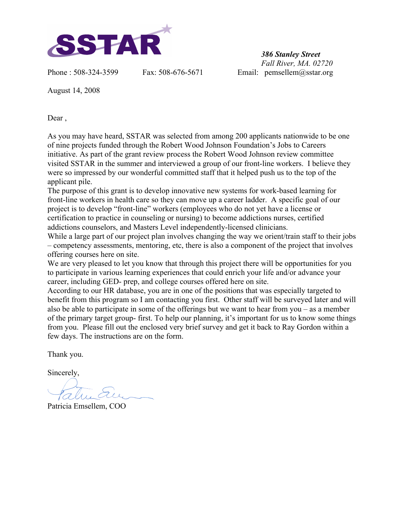

*386 Stanley Street Fall River, MA. 02720* Phone : 508-324-3599 Fax: 508-676-5671 Email: pemsellem@sstar.org

August 14, 2008

Dear ,

As you may have heard, SSTAR was selected from among 200 applicants nationwide to be one of nine projects funded through the Robert Wood Johnson Foundation's Jobs to Careers initiative. As part of the grant review process the Robert Wood Johnson review committee visited SSTAR in the summer and interviewed a group of our front-line workers. I believe they were so impressed by our wonderful committed staff that it helped push us to the top of the applicant pile.

The purpose of this grant is to develop innovative new systems for work-based learning for front-line workers in health care so they can move up a career ladder. A specific goal of our project is to develop "front-line" workers (employees who do not yet have a license or certification to practice in counseling or nursing) to become addictions nurses, certified addictions counselors, and Masters Level independently-licensed clinicians.

While a large part of our project plan involves changing the way we orient/train staff to their jobs – competency assessments, mentoring, etc, there is also a component of the project that involves offering courses here on site.

We are very pleased to let you know that through this project there will be opportunities for you to participate in various learning experiences that could enrich your life and/or advance your career, including GED- prep, and college courses offered here on site.

According to our HR database, you are in one of the positions that was especially targeted to benefit from this program so I am contacting you first. Other staff will be surveyed later and will also be able to participate in some of the offerings but we want to hear from you – as a member of the primary target group- first. To help our planning, it's important for us to know some things from you. Please fill out the enclosed very brief survey and get it back to Ray Gordon within a few days. The instructions are on the form.

Thank you.

Sincerely,

Patricia Emsellem, COO